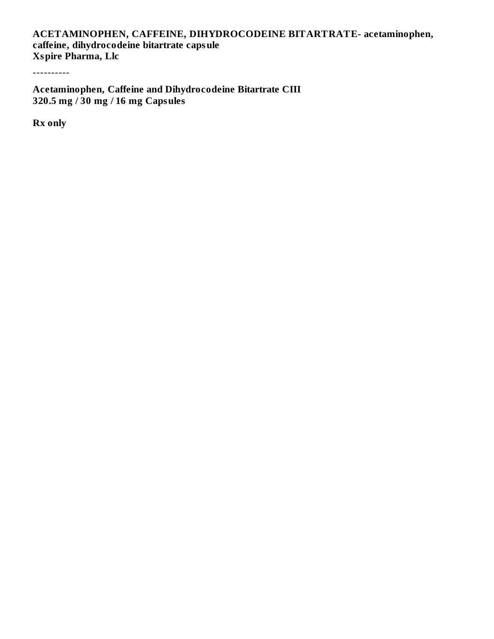### **ACETAMINOPHEN, CAFFEINE, DIHYDROCODEINE BITARTRATE- acetaminophen, caffeine, dihydrocodeine bitartrate capsule Xspire Pharma, Llc**

----------

**Acetaminophen, Caffeine and Dihydrocodeine Bitartrate CIII 320.5 mg / 30 mg / 16 mg Capsules**

**Rx only**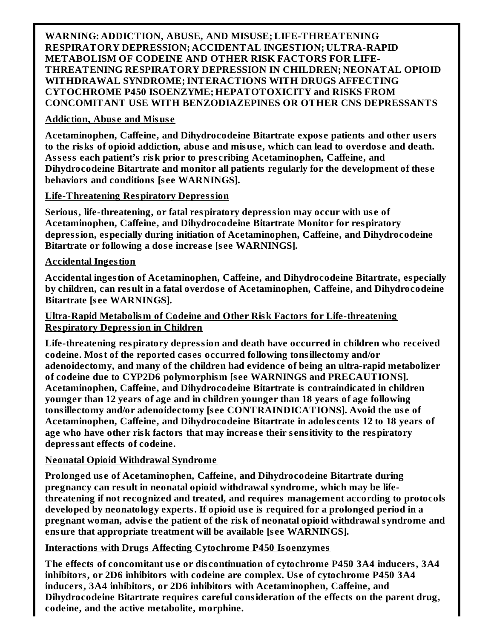**WARNING: ADDICTION, ABUSE, AND MISUSE; LIFE-THREATENING RESPIRATORY DEPRESSION; ACCIDENTAL INGESTION; ULTRA-RAPID METABOLISM OF CODEINE AND OTHER RISK FACTORS FOR LIFE-THREATENING RESPIRATORY DEPRESSION IN CHILDREN; NEONATAL OPIOID WITHDRAWAL SYNDROME;INTERACTIONS WITH DRUGS AFFECTING CYTOCHROME P450 ISOENZYME; HEPATOTOXICITY and RISKS FROM CONCOMITANT USE WITH BENZODIAZEPINES OR OTHER CNS DEPRESSANTS**

#### **Addiction, Abus e and Misus e**

**Acetaminophen, Caffeine, and Dihydrocodeine Bitartrate expos e patients and other us ers** to the risks of opioid addiction, abuse and misuse, which can lead to overdose and death. **Ass ess each patient's risk prior to pres cribing Acetaminophen, Caffeine, and Dihydrocodeine Bitartrate and monitor all patients regularly for the development of thes e behaviors and conditions [s ee WARNINGS].**

#### **Life-Threatening Respiratory Depression**

**Serious, life-threatening, or fatal respiratory depression may occur with us e of Acetaminophen, Caffeine, and Dihydrocodeine Bitartrate Monitor for respiratory depression, especially during initiation of Acetaminophen, Caffeine, and Dihydrocodeine Bitartrate or following a dos e increas e [s ee WARNINGS].**

#### **Accidental Ingestion**

**Accidental ingestion of Acetaminophen, Caffeine, and Dihydrocodeine Bitartrate, especially by children, can result in a fatal overdos e of Acetaminophen, Caffeine, and Dihydrocodeine Bitartrate [s ee WARNINGS].**

#### **Ultra-Rapid Metabolism of Codeine and Other Risk Factors for Life-threatening Respiratory Depression in Children**

**Life-threatening respiratory depression and death have occurred in children who received codeine. Most of the reported cas es occurred following tonsillectomy and/or adenoidectomy, and many of the children had evidence of being an ultra-rapid metabolizer of codeine due to CYP2D6 polymorphism [s ee WARNINGS and PRECAUTIONS]. Acetaminophen, Caffeine, and Dihydrocodeine Bitartrate is contraindicated in children younger than 12 years of age and in children younger than 18 years of age following tonsillectomy and/or adenoidectomy [s ee CONTRAINDICATIONS]. Avoid the us e of Acetaminophen, Caffeine, and Dihydrocodeine Bitartrate in adoles cents 12 to 18 years of age who have other risk factors that may increas e their s ensitivity to the respiratory depressant effects of codeine.**

#### **Neonatal Opioid Withdrawal Syndrome**

**Prolonged us e of Acetaminophen, Caffeine, and Dihydrocodeine Bitartrate during pregnancy can result in neonatal opioid withdrawal syndrome, which may be lifethreatening if not recognized and treated, and requires management according to protocols developed by neonatology experts. If opioid us e is required for a prolonged period in a pregnant woman, advis e the patient of the risk of neonatal opioid withdrawal syndrome and ensure that appropriate treatment will be available [s ee WARNINGS].**

#### **Interactions with Drugs Affecting Cytochrome P450 Isoenzymes**

**The effects of concomitant us e or dis continuation of cytochrome P450 3A4 inducers, 3A4 inhibitors, or 2D6 inhibitors with codeine are complex. Us e of cytochrome P450 3A4 inducers, 3A4 inhibitors, or 2D6 inhibitors with Acetaminophen, Caffeine, and Dihydrocodeine Bitartrate requires careful consideration of the effects on the parent drug, codeine, and the active metabolite, morphine.**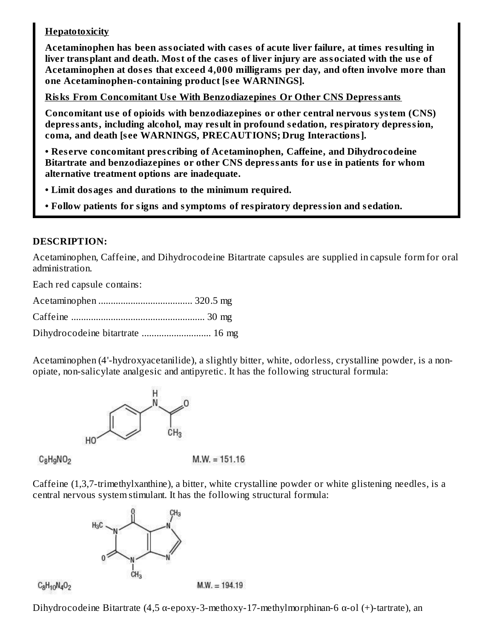### **Hepatotoxicity**

**Acetaminophen has been associated with cas es of acute liver failure, at times resulting in** liver transplant and death. Most of the cases of liver injury are associated with the use of **Acetaminophen at dos es that exceed 4,000 milligrams per day, and often involve more than one Acetaminophen-containing product [s ee WARNINGS].**

**Risks From Concomitant Us e With Benzodiazepines Or Other CNS Depressants**

**Concomitant us e of opioids with benzodiazepines or other central nervous system (CNS) depressants, including alcohol, may result in profound s edation, respiratory depression, coma, and death [s ee WARNINGS, PRECAUTIONS; Drug Interactions].**

**• Res erve concomitant pres cribing of Acetaminophen, Caffeine, and Dihydrocodeine Bitartrate and benzodiazepines or other CNS depressants for us e in patients for whom alternative treatment options are inadequate.**

- **• Limit dosages and durations to the minimum required.**
- **• Follow patients for signs and symptoms of respiratory depression and s edation.**

#### **DESCRIPTION:**

Acetaminophen, Caffeine, and Dihydrocodeine Bitartrate capsules are supplied in capsule form for oral administration.

Each red capsule contains:

| Dihydrocodeine bitartrate  16 mg |  |
|----------------------------------|--|

Acetaminophen (4'-hydroxyacetanilide), a slightly bitter, white, odorless, crystalline powder, is a nonopiate, non-salicylate analgesic and antipyretic. It has the following structural formula:



 $C_8H_9NO_2$ 

 $M.W. = 151.16$ 

Caffeine (1,3,7-trimethylxanthine), a bitter, white crystalline powder or white glistening needles, is a central nervous system stimulant. It has the following structural formula:



 $C_8H_{10}N_4O_2$ 

Dihydrocodeine Bitartrate (4,5 α-epoxy-3-methoxy-17-methylmorphinan-6 α-ol (+)-tartrate), an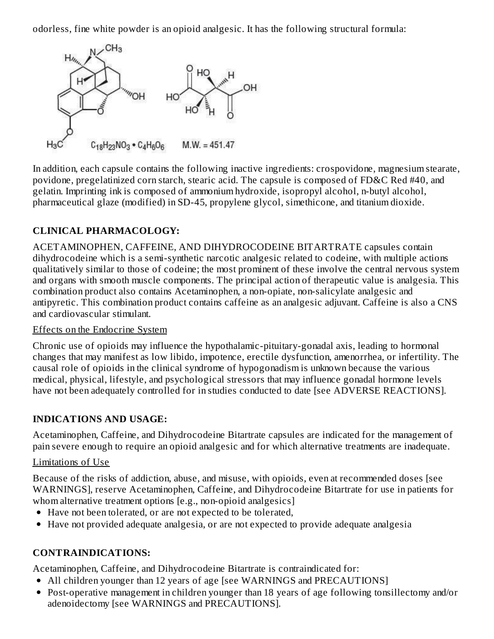odorless, fine white powder is an opioid analgesic. It has the following structural formula:



In addition, each capsule contains the following inactive ingredients: crospovidone, magnesium stearate, povidone, pregelatinized corn starch, stearic acid. The capsule is composed of FD&C Red #40, and gelatin. Imprinting ink is composed of ammonium hydroxide, isopropyl alcohol, n-butyl alcohol, pharmaceutical glaze (modified) in SD-45, propylene glycol, simethicone, and titanium dioxide.

# **CLINICAL PHARMACOLOGY:**

ACETAMINOPHEN, CAFFEINE, AND DIHYDROCODEINE BITARTRATE capsules contain dihydrocodeine which is a semi-synthetic narcotic analgesic related to codeine, with multiple actions qualitatively similar to those of codeine; the most prominent of these involve the central nervous system and organs with smooth muscle components. The principal action of therapeutic value is analgesia. This combination product also contains Acetaminophen, a non-opiate, non-salicylate analgesic and antipyretic. This combination product contains caffeine as an analgesic adjuvant. Caffeine is also a CNS and cardiovascular stimulant.

#### Effects on the Endocrine System

Chronic use of opioids may influence the hypothalamic-pituitary-gonadal axis, leading to hormonal changes that may manifest as low libido, impotence, erectile dysfunction, amenorrhea, or infertility. The causal role of opioids in the clinical syndrome of hypogonadism is unknown because the various medical, physical, lifestyle, and psychological stressors that may influence gonadal hormone levels have not been adequately controlled for in studies conducted to date [see ADVERSE REACTIONS].

# **INDICATIONS AND USAGE:**

Acetaminophen, Caffeine, and Dihydrocodeine Bitartrate capsules are indicated for the management of pain severe enough to require an opioid analgesic and for which alternative treatments are inadequate.

# Limitations of Use

Because of the risks of addiction, abuse, and misuse, with opioids, even at recommended doses [see WARNINGS], reserve Acetaminophen, Caffeine, and Dihydrocodeine Bitartrate for use in patients for whom alternative treatment options [e.g., non-opioid analgesics]

- Have not been tolerated, or are not expected to be tolerated,
- Have not provided adequate analgesia, or are not expected to provide adequate analgesia

# **CONTRAINDICATIONS:**

Acetaminophen, Caffeine, and Dihydrocodeine Bitartrate is contraindicated for:

- All children younger than 12 years of age [see WARNINGS and PRECAUTIONS]
- Post-operative management in children younger than 18 years of age following tonsillectomy and/or adenoidectomy [see WARNINGS and PRECAUTIONS].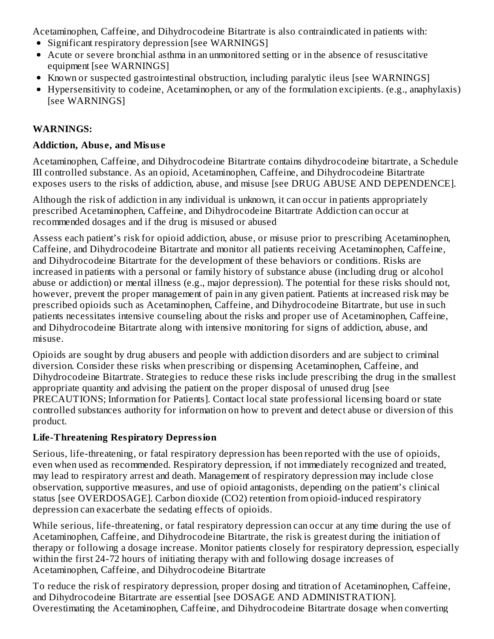Acetaminophen, Caffeine, and Dihydrocodeine Bitartrate is also contraindicated in patients with:

- Significant respiratory depression [see WARNINGS]
- Acute or severe bronchial asthma in an unmonitored setting or in the absence of resuscitative equipment [see WARNINGS]
- Known or suspected gastrointestinal obstruction, including paralytic ileus [see WARNINGS]
- Hypersensitivity to codeine, Acetaminophen, or any of the formulation excipients. (e.g., anaphylaxis) [see WARNINGS]

# **WARNINGS:**

### **Addiction, Abus e, and Misus e**

Acetaminophen, Caffeine, and Dihydrocodeine Bitartrate contains dihydrocodeine bitartrate, a Schedule III controlled substance. As an opioid, Acetaminophen, Caffeine, and Dihydrocodeine Bitartrate exposes users to the risks of addiction, abuse, and misuse [see DRUG ABUSE AND DEPENDENCE].

Although the risk of addiction in any individual is unknown, it can occur in patients appropriately prescribed Acetaminophen, Caffeine, and Dihydrocodeine Bitartrate Addiction can occur at recommended dosages and if the drug is misused or abused

Assess each patient's risk for opioid addiction, abuse, or misuse prior to prescribing Acetaminophen, Caffeine, and Dihydrocodeine Bitartrate and monitor all patients receiving Acetaminophen, Caffeine, and Dihydrocodeine Bitartrate for the development of these behaviors or conditions. Risks are increased in patients with a personal or family history of substance abuse (including drug or alcohol abuse or addiction) or mental illness (e.g., major depression). The potential for these risks should not, however, prevent the proper management of pain in any given patient. Patients at increased risk may be prescribed opioids such as Acetaminophen, Caffeine, and Dihydrocodeine Bitartrate, but use in such patients necessitates intensive counseling about the risks and proper use of Acetaminophen, Caffeine, and Dihydrocodeine Bitartrate along with intensive monitoring for signs of addiction, abuse, and misuse.

Opioids are sought by drug abusers and people with addiction disorders and are subject to criminal diversion. Consider these risks when prescribing or dispensing Acetaminophen, Caffeine, and Dihydrocodeine Bitartrate. Strategies to reduce these risks include prescribing the drug in the smallest appropriate quantity and advising the patient on the proper disposal of unused drug [see PRECAUTIONS; Information for Patients]. Contact local state professional licensing board or state controlled substances authority for information on how to prevent and detect abuse or diversion of this product.

# **Life-Threatening Respiratory Depression**

Serious, life-threatening, or fatal respiratory depression has been reported with the use of opioids, even when used as recommended. Respiratory depression, if not immediately recognized and treated, may lead to respiratory arrest and death. Management of respiratory depression may include close observation, supportive measures, and use of opioid antagonists, depending on the patient's clinical status [see OVERDOSAGE]. Carbon dioxide (CO2) retention from opioid-induced respiratory depression can exacerbate the sedating effects of opioids.

While serious, life-threatening, or fatal respiratory depression can occur at any time during the use of Acetaminophen, Caffeine, and Dihydrocodeine Bitartrate, the risk is greatest during the initiation of therapy or following a dosage increase. Monitor patients closely for respiratory depression, especially within the first 24-72 hours of initiating therapy with and following dosage increases of Acetaminophen, Caffeine, and Dihydrocodeine Bitartrate

To reduce the risk of respiratory depression, proper dosing and titration of Acetaminophen, Caffeine, and Dihydrocodeine Bitartrate are essential [see DOSAGE AND ADMINISTRATION]. Overestimating the Acetaminophen, Caffeine, and Dihydrocodeine Bitartrate dosage when converting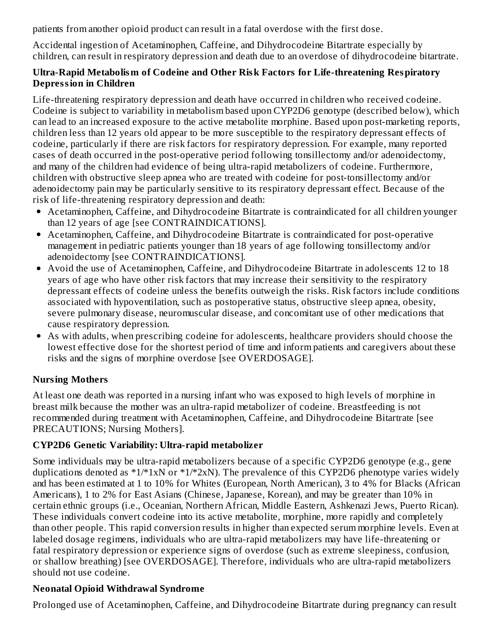patients from another opioid product can result in a fatal overdose with the first dose.

Accidental ingestion of Acetaminophen, Caffeine, and Dihydrocodeine Bitartrate especially by children, can result in respiratory depression and death due to an overdose of dihydrocodeine bitartrate.

### **Ultra-Rapid Metabolism of Codeine and Other Risk Factors for Life-threatening Respiratory Depression in Children**

Life-threatening respiratory depression and death have occurred in children who received codeine. Codeine is subject to variability in metabolism based upon CYP2D6 genotype (described below), which can lead to an increased exposure to the active metabolite morphine. Based upon post-marketing reports, children less than 12 years old appear to be more susceptible to the respiratory depressant effects of codeine, particularly if there are risk factors for respiratory depression. For example, many reported cases of death occurred in the post-operative period following tonsillectomy and/or adenoidectomy, and many of the children had evidence of being ultra-rapid metabolizers of codeine. Furthermore, children with obstructive sleep apnea who are treated with codeine for post-tonsillectomy and/or adenoidectomy pain may be particularly sensitive to its respiratory depressant effect. Because of the risk of life-threatening respiratory depression and death:

- Acetaminophen, Caffeine, and Dihydrocodeine Bitartrate is contraindicated for all children younger than 12 years of age [see CONTRAINDICATIONS].
- Acetaminophen, Caffeine, and Dihydrocodeine Bitartrate is contraindicated for post-operative management in pediatric patients younger than 18 years of age following tonsillectomy and/or adenoidectomy [see CONTRAINDICATIONS].
- Avoid the use of Acetaminophen, Caffeine, and Dihydrocodeine Bitartrate in adolescents 12 to 18 years of age who have other risk factors that may increase their sensitivity to the respiratory depressant effects of codeine unless the benefits outweigh the risks. Risk factors include conditions associated with hypoventilation, such as postoperative status, obstructive sleep apnea, obesity, severe pulmonary disease, neuromuscular disease, and concomitant use of other medications that cause respiratory depression.
- As with adults, when prescribing codeine for adolescents, healthcare providers should choose the lowest effective dose for the shortest period of time and inform patients and caregivers about these risks and the signs of morphine overdose [see OVERDOSAGE].

# **Nursing Mothers**

At least one death was reported in a nursing infant who was exposed to high levels of morphine in breast milk because the mother was an ultra-rapid metabolizer of codeine. Breastfeeding is not recommended during treatment with Acetaminophen, Caffeine, and Dihydrocodeine Bitartrate [see PRECAUTIONS; Nursing Mothers].

# **CYP2D6 Genetic Variability: Ultra-rapid metabolizer**

Some individuals may be ultra-rapid metabolizers because of a specific CYP2D6 genotype (e.g., gene duplications denoted as  $*1/*1xN$  or  $*1/*2xN$ ). The prevalence of this CYP2D6 phenotype varies widely and has been estimated at 1 to 10% for Whites (European, North American), 3 to 4% for Blacks (African Americans), 1 to 2% for East Asians (Chinese, Japanese, Korean), and may be greater than 10% in certain ethnic groups (i.e., Oceanian, Northern African, Middle Eastern, Ashkenazi Jews, Puerto Rican). These individuals convert codeine into its active metabolite, morphine, more rapidly and completely than other people. This rapid conversion results in higher than expected serum morphine levels. Even at labeled dosage regimens, individuals who are ultra-rapid metabolizers may have life-threatening or fatal respiratory depression or experience signs of overdose (such as extreme sleepiness, confusion, or shallow breathing) [see OVERDOSAGE]. Therefore, individuals who are ultra-rapid metabolizers should not use codeine.

# **Neonatal Opioid Withdrawal Syndrome**

Prolonged use of Acetaminophen, Caffeine, and Dihydrocodeine Bitartrate during pregnancy can result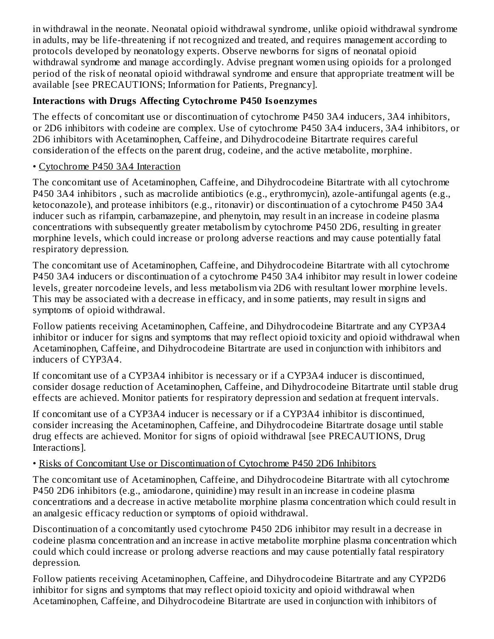in withdrawal in the neonate. Neonatal opioid withdrawal syndrome, unlike opioid withdrawal syndrome in adults, may be life-threatening if not recognized and treated, and requires management according to protocols developed by neonatology experts. Observe newborns for signs of neonatal opioid withdrawal syndrome and manage accordingly. Advise pregnant women using opioids for a prolonged period of the risk of neonatal opioid withdrawal syndrome and ensure that appropriate treatment will be available [see PRECAUTIONS; Information for Patients, Pregnancy].

# **Interactions with Drugs Affecting Cytochrome P450 Isoenzymes**

The effects of concomitant use or discontinuation of cytochrome P450 3A4 inducers, 3A4 inhibitors, or 2D6 inhibitors with codeine are complex. Use of cytochrome P450 3A4 inducers, 3A4 inhibitors, or 2D6 inhibitors with Acetaminophen, Caffeine, and Dihydrocodeine Bitartrate requires careful consideration of the effects on the parent drug, codeine, and the active metabolite, morphine.

# • Cytochrome P450 3A4 Interaction

The concomitant use of Acetaminophen, Caffeine, and Dihydrocodeine Bitartrate with all cytochrome P450 3A4 inhibitors , such as macrolide antibiotics (e.g., erythromycin), azole-antifungal agents (e.g., ketoconazole), and protease inhibitors (e.g., ritonavir) or discontinuation of a cytochrome P450 3A4 inducer such as rifampin, carbamazepine, and phenytoin, may result in an increase in codeine plasma concentrations with subsequently greater metabolism by cytochrome P450 2D6, resulting in greater morphine levels, which could increase or prolong adverse reactions and may cause potentially fatal respiratory depression.

The concomitant use of Acetaminophen, Caffeine, and Dihydrocodeine Bitartrate with all cytochrome P450 3A4 inducers or discontinuation of a cytochrome P450 3A4 inhibitor may result in lower codeine levels, greater norcodeine levels, and less metabolism via 2D6 with resultant lower morphine levels. This may be associated with a decrease in efficacy, and in some patients, may result in signs and symptoms of opioid withdrawal.

Follow patients receiving Acetaminophen, Caffeine, and Dihydrocodeine Bitartrate and any CYP3A4 inhibitor or inducer for signs and symptoms that may reflect opioid toxicity and opioid withdrawal when Acetaminophen, Caffeine, and Dihydrocodeine Bitartrate are used in conjunction with inhibitors and inducers of CYP3A4.

If concomitant use of a CYP3A4 inhibitor is necessary or if a CYP3A4 inducer is discontinued, consider dosage reduction of Acetaminophen, Caffeine, and Dihydrocodeine Bitartrate until stable drug effects are achieved. Monitor patients for respiratory depression and sedation at frequent intervals.

If concomitant use of a CYP3A4 inducer is necessary or if a CYP3A4 inhibitor is discontinued, consider increasing the Acetaminophen, Caffeine, and Dihydrocodeine Bitartrate dosage until stable drug effects are achieved. Monitor for signs of opioid withdrawal [see PRECAUTIONS, Drug Interactions].

# • Risks of Concomitant Use or Discontinuation of Cytochrome P450 2D6 Inhibitors

The concomitant use of Acetaminophen, Caffeine, and Dihydrocodeine Bitartrate with all cytochrome P450 2D6 inhibitors (e.g., amiodarone, quinidine) may result in an increase in codeine plasma concentrations and a decrease in active metabolite morphine plasma concentration which could result in an analgesic efficacy reduction or symptoms of opioid withdrawal.

Discontinuation of a concomitantly used cytochrome P450 2D6 inhibitor may result in a decrease in codeine plasma concentration and an increase in active metabolite morphine plasma concentration which could which could increase or prolong adverse reactions and may cause potentially fatal respiratory depression.

Follow patients receiving Acetaminophen, Caffeine, and Dihydrocodeine Bitartrate and any CYP2D6 inhibitor for signs and symptoms that may reflect opioid toxicity and opioid withdrawal when Acetaminophen, Caffeine, and Dihydrocodeine Bitartrate are used in conjunction with inhibitors of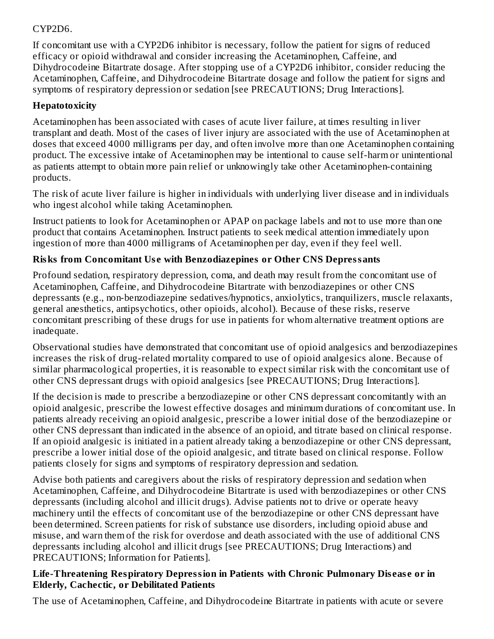### CYP2D6.

If concomitant use with a CYP2D6 inhibitor is necessary, follow the patient for signs of reduced efficacy or opioid withdrawal and consider increasing the Acetaminophen, Caffeine, and Dihydrocodeine Bitartrate dosage. After stopping use of a CYP2D6 inhibitor, consider reducing the Acetaminophen, Caffeine, and Dihydrocodeine Bitartrate dosage and follow the patient for signs and symptoms of respiratory depression or sedation [see PRECAUTIONS; Drug Interactions].

# **Hepatotoxicity**

Acetaminophen has been associated with cases of acute liver failure, at times resulting in liver transplant and death. Most of the cases of liver injury are associated with the use of Acetaminophen at doses that exceed 4000 milligrams per day, and often involve more than one Acetaminophen containing product. The excessive intake of Acetaminophen may be intentional to cause self-harm or unintentional as patients attempt to obtain more pain relief or unknowingly take other Acetaminophen-containing products.

The risk of acute liver failure is higher in individuals with underlying liver disease and in individuals who ingest alcohol while taking Acetaminophen.

Instruct patients to look for Acetaminophen or APAP on package labels and not to use more than one product that contains Acetaminophen. Instruct patients to seek medical attention immediately upon ingestion of more than 4000 milligrams of Acetaminophen per day, even if they feel well.

# **Risks from Concomitant Us e with Benzodiazepines or Other CNS Depressants**

Profound sedation, respiratory depression, coma, and death may result from the concomitant use of Acetaminophen, Caffeine, and Dihydrocodeine Bitartrate with benzodiazepines or other CNS depressants (e.g., non-benzodiazepine sedatives/hypnotics, anxiolytics, tranquilizers, muscle relaxants, general anesthetics, antipsychotics, other opioids, alcohol). Because of these risks, reserve concomitant prescribing of these drugs for use in patients for whom alternative treatment options are inadequate.

Observational studies have demonstrated that concomitant use of opioid analgesics and benzodiazepines increases the risk of drug-related mortality compared to use of opioid analgesics alone. Because of similar pharmacological properties, it is reasonable to expect similar risk with the concomitant use of other CNS depressant drugs with opioid analgesics [see PRECAUTIONS; Drug Interactions].

If the decision is made to prescribe a benzodiazepine or other CNS depressant concomitantly with an opioid analgesic, prescribe the lowest effective dosages and minimum durations of concomitant use. In patients already receiving an opioid analgesic, prescribe a lower initial dose of the benzodiazepine or other CNS depressant than indicated in the absence of an opioid, and titrate based on clinical response. If an opioid analgesic is initiated in a patient already taking a benzodiazepine or other CNS depressant, prescribe a lower initial dose of the opioid analgesic, and titrate based on clinical response. Follow patients closely for signs and symptoms of respiratory depression and sedation.

Advise both patients and caregivers about the risks of respiratory depression and sedation when Acetaminophen, Caffeine, and Dihydrocodeine Bitartrate is used with benzodiazepines or other CNS depressants (including alcohol and illicit drugs). Advise patients not to drive or operate heavy machinery until the effects of concomitant use of the benzodiazepine or other CNS depressant have been determined. Screen patients for risk of substance use disorders, including opioid abuse and misuse, and warn them of the risk for overdose and death associated with the use of additional CNS depressants including alcohol and illicit drugs [see PRECAUTIONS; Drug Interactions) and PRECAUTIONS; Information for Patients].

#### **Life-Threatening Respiratory Depression in Patients with Chronic Pulmonary Dis eas e or in Elderly, Cachectic, or Debilitated Patients**

The use of Acetaminophen, Caffeine, and Dihydrocodeine Bitartrate in patients with acute or severe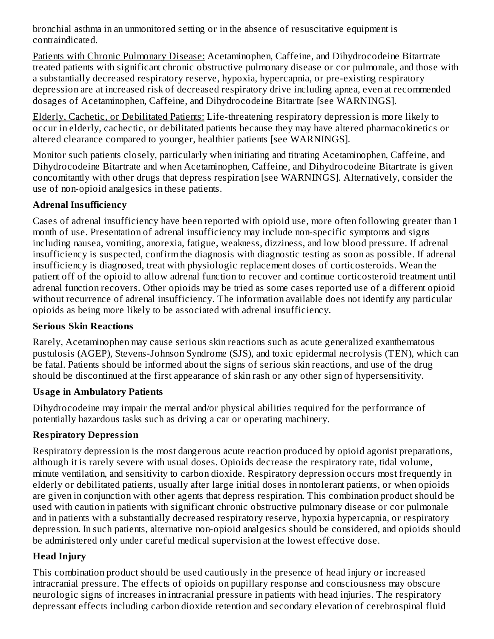bronchial asthma in an unmonitored setting or in the absence of resuscitative equipment is contraindicated.

Patients with Chronic Pulmonary Disease: Acetaminophen, Caffeine, and Dihydrocodeine Bitartrate treated patients with significant chronic obstructive pulmonary disease or cor pulmonale, and those with a substantially decreased respiratory reserve, hypoxia, hypercapnia, or pre-existing respiratory depression are at increased risk of decreased respiratory drive including apnea, even at recommended dosages of Acetaminophen, Caffeine, and Dihydrocodeine Bitartrate [see WARNINGS].

Elderly, Cachetic, or Debilitated Patients: Life-threatening respiratory depression is more likely to occur in elderly, cachectic, or debilitated patients because they may have altered pharmacokinetics or altered clearance compared to younger, healthier patients [see WARNINGS].

Monitor such patients closely, particularly when initiating and titrating Acetaminophen, Caffeine, and Dihydrocodeine Bitartrate and when Acetaminophen, Caffeine, and Dihydrocodeine Bitartrate is given concomitantly with other drugs that depress respiration [see WARNINGS]. Alternatively, consider the use of non-opioid analgesics in these patients.

### **Adrenal Insufficiency**

Cases of adrenal insufficiency have been reported with opioid use, more often following greater than 1 month of use. Presentation of adrenal insufficiency may include non-specific symptoms and signs including nausea, vomiting, anorexia, fatigue, weakness, dizziness, and low blood pressure. If adrenal insufficiency is suspected, confirm the diagnosis with diagnostic testing as soon as possible. If adrenal insufficiency is diagnosed, treat with physiologic replacement doses of corticosteroids. Wean the patient off of the opioid to allow adrenal function to recover and continue corticosteroid treatment until adrenal function recovers. Other opioids may be tried as some cases reported use of a different opioid without recurrence of adrenal insufficiency. The information available does not identify any particular opioids as being more likely to be associated with adrenal insufficiency.

#### **Serious Skin Reactions**

Rarely, Acetaminophen may cause serious skin reactions such as acute generalized exanthematous pustulosis (AGEP), Stevens-Johnson Syndrome (SJS), and toxic epidermal necrolysis (TEN), which can be fatal. Patients should be informed about the signs of serious skin reactions, and use of the drug should be discontinued at the first appearance of skin rash or any other sign of hypersensitivity.

# **Usage in Ambulatory Patients**

Dihydrocodeine may impair the mental and/or physical abilities required for the performance of potentially hazardous tasks such as driving a car or operating machinery.

# **Respiratory Depression**

Respiratory depression is the most dangerous acute reaction produced by opioid agonist preparations, although it is rarely severe with usual doses. Opioids decrease the respiratory rate, tidal volume, minute ventilation, and sensitivity to carbon dioxide. Respiratory depression occurs most frequently in elderly or debilitated patients, usually after large initial doses in nontolerant patients, or when opioids are given in conjunction with other agents that depress respiration. This combination product should be used with caution in patients with significant chronic obstructive pulmonary disease or cor pulmonale and in patients with a substantially decreased respiratory reserve, hypoxia hypercapnia, or respiratory depression. In such patients, alternative non-opioid analgesics should be considered, and opioids should be administered only under careful medical supervision at the lowest effective dose.

# **Head Injury**

This combination product should be used cautiously in the presence of head injury or increased intracranial pressure. The effects of opioids on pupillary response and consciousness may obscure neurologic signs of increases in intracranial pressure in patients with head injuries. The respiratory depressant effects including carbon dioxide retention and secondary elevation of cerebrospinal fluid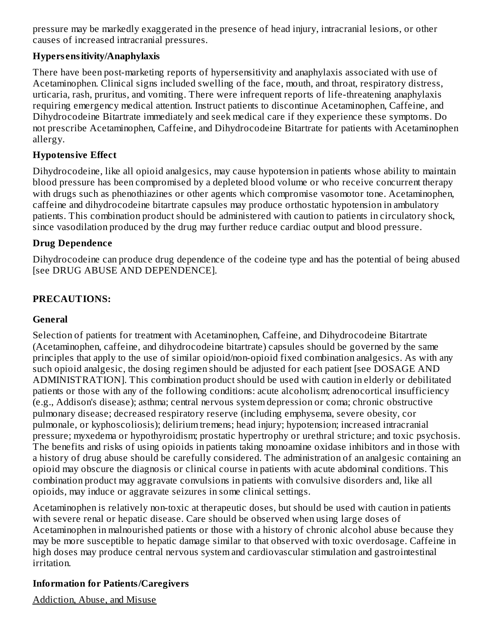pressure may be markedly exaggerated in the presence of head injury, intracranial lesions, or other causes of increased intracranial pressures.

### **Hypers ensitivity/Anaphylaxis**

There have been post-marketing reports of hypersensitivity and anaphylaxis associated with use of Acetaminophen. Clinical signs included swelling of the face, mouth, and throat, respiratory distress, urticaria, rash, pruritus, and vomiting. There were infrequent reports of life-threatening anaphylaxis requiring emergency medical attention. Instruct patients to discontinue Acetaminophen, Caffeine, and Dihydrocodeine Bitartrate immediately and seek medical care if they experience these symptoms. Do not prescribe Acetaminophen, Caffeine, and Dihydrocodeine Bitartrate for patients with Acetaminophen allergy.

# **Hypotensive Effect**

Dihydrocodeine, like all opioid analgesics, may cause hypotension in patients whose ability to maintain blood pressure has been compromised by a depleted blood volume or who receive concurrent therapy with drugs such as phenothiazines or other agents which compromise vasomotor tone. Acetaminophen, caffeine and dihydrocodeine bitartrate capsules may produce orthostatic hypotension in ambulatory patients. This combination product should be administered with caution to patients in circulatory shock, since vasodilation produced by the drug may further reduce cardiac output and blood pressure.

# **Drug Dependence**

Dihydrocodeine can produce drug dependence of the codeine type and has the potential of being abused [see DRUG ABUSE AND DEPENDENCE].

# **PRECAUTIONS:**

### **General**

Selection of patients for treatment with Acetaminophen, Caffeine, and Dihydrocodeine Bitartrate (Acetaminophen, caffeine, and dihydrocodeine bitartrate) capsules should be governed by the same principles that apply to the use of similar opioid/non-opioid fixed combination analgesics. As with any such opioid analgesic, the dosing regimen should be adjusted for each patient [see DOSAGE AND ADMINISTRATION]. This combination product should be used with caution in elderly or debilitated patients or those with any of the following conditions: acute alcoholism; adrenocortical insufficiency (e.g., Addison's disease); asthma; central nervous system depression or coma; chronic obstructive pulmonary disease; decreased respiratory reserve (including emphysema, severe obesity, cor pulmonale, or kyphoscoliosis); delirium tremens; head injury; hypotension; increased intracranial pressure; myxedema or hypothyroidism; prostatic hypertrophy or urethral stricture; and toxic psychosis. The benefits and risks of using opioids in patients taking monoamine oxidase inhibitors and in those with a history of drug abuse should be carefully considered. The administration of an analgesic containing an opioid may obscure the diagnosis or clinical course in patients with acute abdominal conditions. This combination product may aggravate convulsions in patients with convulsive disorders and, like all opioids, may induce or aggravate seizures in some clinical settings.

Acetaminophen is relatively non-toxic at therapeutic doses, but should be used with caution in patients with severe renal or hepatic disease. Care should be observed when using large doses of Acetaminophen in malnourished patients or those with a history of chronic alcohol abuse because they may be more susceptible to hepatic damage similar to that observed with toxic overdosage. Caffeine in high doses may produce central nervous system and cardiovascular stimulation and gastrointestinal irritation.

# **Information for Patients/Caregivers**

Addiction, Abuse, and Misuse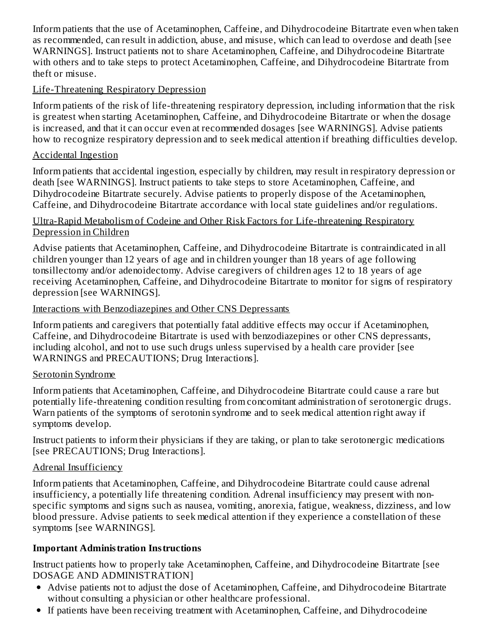Inform patients that the use of Acetaminophen, Caffeine, and Dihydrocodeine Bitartrate even when taken as recommended, can result in addiction, abuse, and misuse, which can lead to overdose and death [see WARNINGS]. Instruct patients not to share Acetaminophen, Caffeine, and Dihydrocodeine Bitartrate with others and to take steps to protect Acetaminophen, Caffeine, and Dihydrocodeine Bitartrate from theft or misuse.

### Life-Threatening Respiratory Depression

Inform patients of the risk of life-threatening respiratory depression, including information that the risk is greatest when starting Acetaminophen, Caffeine, and Dihydrocodeine Bitartrate or when the dosage is increased, and that it can occur even at recommended dosages [see WARNINGS]. Advise patients how to recognize respiratory depression and to seek medical attention if breathing difficulties develop.

### Accidental Ingestion

Inform patients that accidental ingestion, especially by children, may result in respiratory depression or death [see WARNINGS]. Instruct patients to take steps to store Acetaminophen, Caffeine, and Dihydrocodeine Bitartrate securely. Advise patients to properly dispose of the Acetaminophen, Caffeine, and Dihydrocodeine Bitartrate accordance with local state guidelines and/or regulations.

#### Ultra-Rapid Metabolism of Codeine and Other Risk Factors for Life-threatening Respiratory Depression in Children

Advise patients that Acetaminophen, Caffeine, and Dihydrocodeine Bitartrate is contraindicated in all children younger than 12 years of age and in children younger than 18 years of age following tonsillectomy and/or adenoidectomy. Advise caregivers of children ages 12 to 18 years of age receiving Acetaminophen, Caffeine, and Dihydrocodeine Bitartrate to monitor for signs of respiratory depression [see WARNINGS].

### Interactions with Benzodiazepines and Other CNS Depressants

Inform patients and caregivers that potentially fatal additive effects may occur if Acetaminophen, Caffeine, and Dihydrocodeine Bitartrate is used with benzodiazepines or other CNS depressants, including alcohol, and not to use such drugs unless supervised by a health care provider [see WARNINGS and PRECAUTIONS; Drug Interactions].

# Serotonin Syndrome

Inform patients that Acetaminophen, Caffeine, and Dihydrocodeine Bitartrate could cause a rare but potentially life-threatening condition resulting from concomitant administration of serotonergic drugs. Warn patients of the symptoms of serotonin syndrome and to seek medical attention right away if symptoms develop.

Instruct patients to inform their physicians if they are taking, or plan to take serotonergic medications [see PRECAUTIONS; Drug Interactions].

# Adrenal Insufficiency

Inform patients that Acetaminophen, Caffeine, and Dihydrocodeine Bitartrate could cause adrenal insufficiency, a potentially life threatening condition. Adrenal insufficiency may present with nonspecific symptoms and signs such as nausea, vomiting, anorexia, fatigue, weakness, dizziness, and low blood pressure. Advise patients to seek medical attention if they experience a constellation of these symptoms [see WARNINGS].

# **Important Administration Instructions**

Instruct patients how to properly take Acetaminophen, Caffeine, and Dihydrocodeine Bitartrate [see DOSAGE AND ADMINISTRATION]

- Advise patients not to adjust the dose of Acetaminophen, Caffeine, and Dihydrocodeine Bitartrate without consulting a physician or other healthcare professional.
- If patients have been receiving treatment with Acetaminophen, Caffeine, and Dihydrocodeine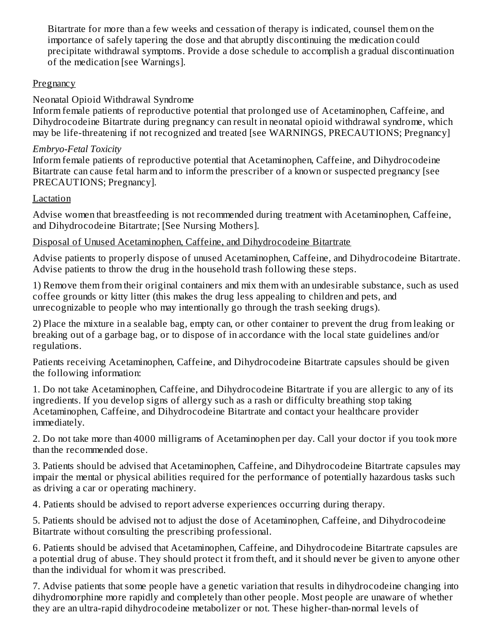Bitartrate for more than a few weeks and cessation of therapy is indicated, counsel them on the importance of safely tapering the dose and that abruptly discontinuing the medication could precipitate withdrawal symptoms. Provide a dose schedule to accomplish a gradual discontinuation of the medication [see Warnings].

### Pregnancy

# Neonatal Opioid Withdrawal Syndrome

Inform female patients of reproductive potential that prolonged use of Acetaminophen, Caffeine, and Dihydrocodeine Bitartrate during pregnancy can result in neonatal opioid withdrawal syndrome, which may be life-threatening if not recognized and treated [see WARNINGS, PRECAUTIONS; Pregnancy]

# *Embryo-Fetal Toxicity*

Inform female patients of reproductive potential that Acetaminophen, Caffeine, and Dihydrocodeine Bitartrate can cause fetal harm and to inform the prescriber of a known or suspected pregnancy [see PRECAUTIONS; Pregnancy].

# **Lactation**

Advise women that breastfeeding is not recommended during treatment with Acetaminophen, Caffeine, and Dihydrocodeine Bitartrate; [See Nursing Mothers].

# Disposal of Unused Acetaminophen, Caffeine, and Dihydrocodeine Bitartrate

Advise patients to properly dispose of unused Acetaminophen, Caffeine, and Dihydrocodeine Bitartrate. Advise patients to throw the drug in the household trash following these steps.

1) Remove them from their original containers and mix them with an undesirable substance, such as used coffee grounds or kitty litter (this makes the drug less appealing to children and pets, and unrecognizable to people who may intentionally go through the trash seeking drugs).

2) Place the mixture in a sealable bag, empty can, or other container to prevent the drug from leaking or breaking out of a garbage bag, or to dispose of in accordance with the local state guidelines and/or regulations.

Patients receiving Acetaminophen, Caffeine, and Dihydrocodeine Bitartrate capsules should be given the following information:

1. Do not take Acetaminophen, Caffeine, and Dihydrocodeine Bitartrate if you are allergic to any of its ingredients. If you develop signs of allergy such as a rash or difficulty breathing stop taking Acetaminophen, Caffeine, and Dihydrocodeine Bitartrate and contact your healthcare provider immediately.

2. Do not take more than 4000 milligrams of Acetaminophen per day. Call your doctor if you took more than the recommended dose.

3. Patients should be advised that Acetaminophen, Caffeine, and Dihydrocodeine Bitartrate capsules may impair the mental or physical abilities required for the performance of potentially hazardous tasks such as driving a car or operating machinery.

4. Patients should be advised to report adverse experiences occurring during therapy.

5. Patients should be advised not to adjust the dose of Acetaminophen, Caffeine, and Dihydrocodeine Bitartrate without consulting the prescribing professional.

6. Patients should be advised that Acetaminophen, Caffeine, and Dihydrocodeine Bitartrate capsules are a potential drug of abuse. They should protect it from theft, and it should never be given to anyone other than the individual for whom it was prescribed.

7. Advise patients that some people have a genetic variation that results in dihydrocodeine changing into dihydromorphine more rapidly and completely than other people. Most people are unaware of whether they are an ultra-rapid dihydrocodeine metabolizer or not. These higher-than-normal levels of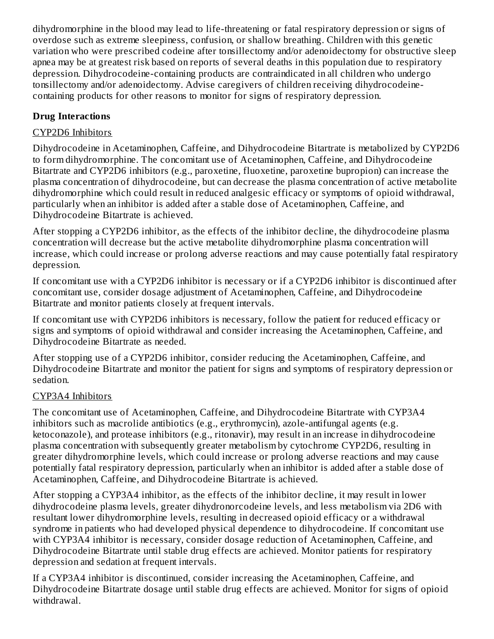dihydromorphine in the blood may lead to life-threatening or fatal respiratory depression or signs of overdose such as extreme sleepiness, confusion, or shallow breathing. Children with this genetic variation who were prescribed codeine after tonsillectomy and/or adenoidectomy for obstructive sleep apnea may be at greatest risk based on reports of several deaths in this population due to respiratory depression. Dihydrocodeine-containing products are contraindicated in all children who undergo tonsillectomy and/or adenoidectomy. Advise caregivers of children receiving dihydrocodeinecontaining products for other reasons to monitor for signs of respiratory depression.

# **Drug Interactions**

### CYP2D6 Inhibitors

Dihydrocodeine in Acetaminophen, Caffeine, and Dihydrocodeine Bitartrate is metabolized by CYP2D6 to form dihydromorphine. The concomitant use of Acetaminophen, Caffeine, and Dihydrocodeine Bitartrate and CYP2D6 inhibitors (e.g., paroxetine, fluoxetine, paroxetine bupropion) can increase the plasma concentration of dihydrocodeine, but can decrease the plasma concentration of active metabolite dihydromorphine which could result in reduced analgesic efficacy or symptoms of opioid withdrawal, particularly when an inhibitor is added after a stable dose of Acetaminophen, Caffeine, and Dihydrocodeine Bitartrate is achieved.

After stopping a CYP2D6 inhibitor, as the effects of the inhibitor decline, the dihydrocodeine plasma concentration will decrease but the active metabolite dihydromorphine plasma concentration will increase, which could increase or prolong adverse reactions and may cause potentially fatal respiratory depression.

If concomitant use with a CYP2D6 inhibitor is necessary or if a CYP2D6 inhibitor is discontinued after concomitant use, consider dosage adjustment of Acetaminophen, Caffeine, and Dihydrocodeine Bitartrate and monitor patients closely at frequent intervals.

If concomitant use with CYP2D6 inhibitors is necessary, follow the patient for reduced efficacy or signs and symptoms of opioid withdrawal and consider increasing the Acetaminophen, Caffeine, and Dihydrocodeine Bitartrate as needed.

After stopping use of a CYP2D6 inhibitor, consider reducing the Acetaminophen, Caffeine, and Dihydrocodeine Bitartrate and monitor the patient for signs and symptoms of respiratory depression or sedation.

# CYP3A4 Inhibitors

The concomitant use of Acetaminophen, Caffeine, and Dihydrocodeine Bitartrate with CYP3A4 inhibitors such as macrolide antibiotics (e.g., erythromycin), azole-antifungal agents (e.g. ketoconazole), and protease inhibitors (e.g., ritonavir), may result in an increase in dihydrocodeine plasma concentration with subsequently greater metabolism by cytochrome CYP2D6, resulting in greater dihydromorphine levels, which could increase or prolong adverse reactions and may cause potentially fatal respiratory depression, particularly when an inhibitor is added after a stable dose of Acetaminophen, Caffeine, and Dihydrocodeine Bitartrate is achieved.

After stopping a CYP3A4 inhibitor, as the effects of the inhibitor decline, it may result in lower dihydrocodeine plasma levels, greater dihydronorcodeine levels, and less metabolism via 2D6 with resultant lower dihydromorphine levels, resulting in decreased opioid efficacy or a withdrawal syndrome in patients who had developed physical dependence to dihydrocodeine. If concomitant use with CYP3A4 inhibitor is necessary, consider dosage reduction of Acetaminophen, Caffeine, and Dihydrocodeine Bitartrate until stable drug effects are achieved. Monitor patients for respiratory depression and sedation at frequent intervals.

If a CYP3A4 inhibitor is discontinued, consider increasing the Acetaminophen, Caffeine, and Dihydrocodeine Bitartrate dosage until stable drug effects are achieved. Monitor for signs of opioid withdrawal.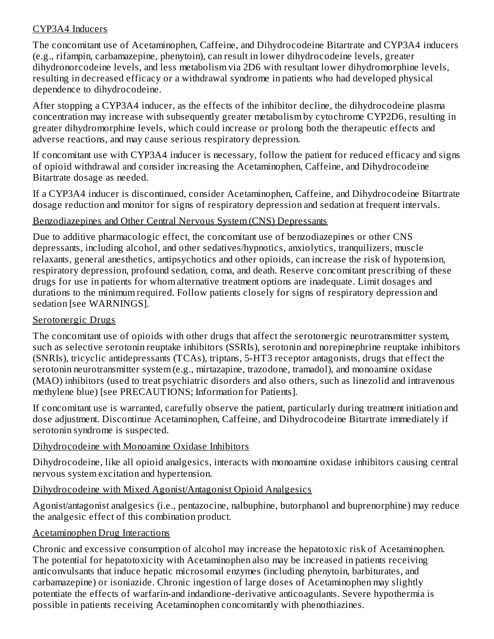#### CYP3A4 Inducers

The concomitant use of Acetaminophen, Caffeine, and Dihydrocodeine Bitartrate and CYP3A4 inducers (e.g., rifampin, carbamazepine, phenytoin), can result in lower dihydrocodeine levels, greater dihydronorcodeine levels, and less metabolism via 2D6 with resultant lower dihydromorphine levels, resulting in decreased efficacy or a withdrawal syndrome in patients who had developed physical dependence to dihydrocodeine.

After stopping a CYP3A4 inducer, as the effects of the inhibitor decline, the dihydrocodeine plasma concentration may increase with subsequently greater metabolism by cytochrome CYP2D6, resulting in greater dihydromorphine levels, which could increase or prolong both the therapeutic effects and adverse reactions, and may cause serious respiratory depression.

If concomitant use with CYP3A4 inducer is necessary, follow the patient for reduced efficacy and signs of opioid withdrawal and consider increasing the Acetaminophen, Caffeine, and Dihydrocodeine Bitartrate dosage as needed.

If a CYP3A4 inducer is discontinued, consider Acetaminophen, Caffeine, and Dihydrocodeine Bitartrate dosage reduction and monitor for signs of respiratory depression and sedation at frequent intervals.

#### Benzodiazepines and Other Central Nervous System (CNS) Depressants

Due to additive pharmacologic effect, the concomitant use of benzodiazepines or other CNS depressants, including alcohol, and other sedatives/hypnotics, anxiolytics, tranquilizers, muscle relaxants, general anesthetics, antipsychotics and other opioids, can increase the risk of hypotension, respiratory depression, profound sedation, coma, and death. Reserve concomitant prescribing of these drugs for use in patients for whom alternative treatment options are inadequate. Limit dosages and durations to the minimum required. Follow patients closely for signs of respiratory depression and sedation [see WARNINGS].

#### Serotonergic Drugs

The concomitant use of opioids with other drugs that affect the serotonergic neurotransmitter system, such as selective serotonin reuptake inhibitors (SSRIs), serotonin and norepinephrine reuptake inhibitors (SNRIs), tricyclic antidepressants (TCAs), triptans, 5-HT3 receptor antagonists, drugs that effect the serotonin neurotransmitter system (e.g., mirtazapine, trazodone, tramadol), and monoamine oxidase (MAO) inhibitors (used to treat psychiatric disorders and also others, such as linezolid and intravenous methylene blue) [see PRECAUTIONS; Information for Patients].

If concomitant use is warranted, carefully observe the patient, particularly during treatment initiation and dose adjustment. Discontinue Acetaminophen, Caffeine, and Dihydrocodeine Bitartrate immediately if serotonin syndrome is suspected.

#### Dihydrocodeine with Monoamine Oxidase Inhibitors

Dihydrocodeine, like all opioid analgesics, interacts with monoamine oxidase inhibitors causing central nervous system excitation and hypertension.

#### Dihydrocodeine with Mixed Agonist/Antagonist Opioid Analgesics

Agonist/antagonist analgesics (i.e., pentazocine, nalbuphine, butorphanol and buprenorphine) may reduce the analgesic effect of this combination product.

#### Acetaminophen Drug Interactions

Chronic and excessive consumption of alcohol may increase the hepatotoxic risk of Acetaminophen. The potential for hepatotoxicity with Acetaminophen also may be increased in patients receiving anticonvulsants that induce hepatic microsomal enzymes (including phenytoin, barbiturates, and carbamazepine) or isoniazide. Chronic ingestion of large doses of Acetaminophen may slightly potentiate the effects of warfarin-and indandione-derivative anticoagulants. Severe hypothermia is possible in patients receiving Acetaminophen concomitantly with phenothiazines.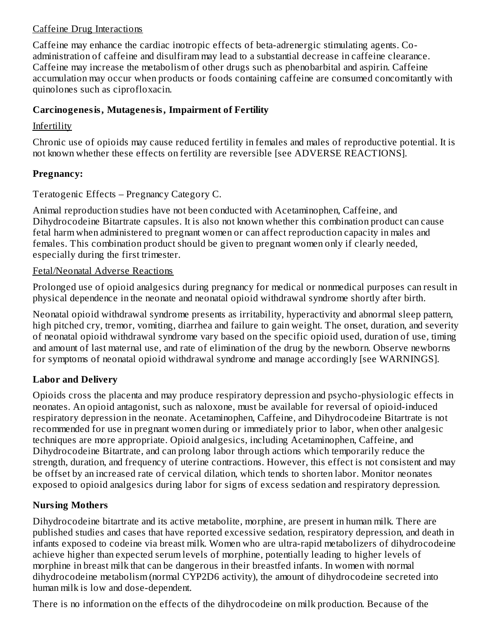#### Caffeine Drug Interactions

Caffeine may enhance the cardiac inotropic effects of beta-adrenergic stimulating agents. Coadministration of caffeine and disulfiram may lead to a substantial decrease in caffeine clearance. Caffeine may increase the metabolism of other drugs such as phenobarbital and aspirin. Caffeine accumulation may occur when products or foods containing caffeine are consumed concomitantly with quinolones such as ciprofloxacin.

### **Carcinogenesis, Mutagenesis, Impairment of Fertility**

### Infertility

Chronic use of opioids may cause reduced fertility in females and males of reproductive potential. It is not known whether these effects on fertility are reversible [see ADVERSE REACTIONS].

### **Pregnancy:**

Teratogenic Effects – Pregnancy Category C.

Animal reproduction studies have not been conducted with Acetaminophen, Caffeine, and Dihydrocodeine Bitartrate capsules. It is also not known whether this combination product can cause fetal harm when administered to pregnant women or can affect reproduction capacity in males and females. This combination product should be given to pregnant women only if clearly needed, especially during the first trimester.

#### Fetal/Neonatal Adverse Reactions

Prolonged use of opioid analgesics during pregnancy for medical or nonmedical purposes can result in physical dependence in the neonate and neonatal opioid withdrawal syndrome shortly after birth.

Neonatal opioid withdrawal syndrome presents as irritability, hyperactivity and abnormal sleep pattern, high pitched cry, tremor, vomiting, diarrhea and failure to gain weight. The onset, duration, and severity of neonatal opioid withdrawal syndrome vary based on the specific opioid used, duration of use, timing and amount of last maternal use, and rate of elimination of the drug by the newborn. Observe newborns for symptoms of neonatal opioid withdrawal syndrome and manage accordingly [see WARNINGS].

# **Labor and Delivery**

Opioids cross the placenta and may produce respiratory depression and psycho-physiologic effects in neonates. An opioid antagonist, such as naloxone, must be available for reversal of opioid-induced respiratory depression in the neonate. Acetaminophen, Caffeine, and Dihydrocodeine Bitartrate is not recommended for use in pregnant women during or immediately prior to labor, when other analgesic techniques are more appropriate. Opioid analgesics, including Acetaminophen, Caffeine, and Dihydrocodeine Bitartrate, and can prolong labor through actions which temporarily reduce the strength, duration, and frequency of uterine contractions. However, this effect is not consistent and may be offset by an increased rate of cervical dilation, which tends to shorten labor. Monitor neonates exposed to opioid analgesics during labor for signs of excess sedation and respiratory depression.

# **Nursing Mothers**

Dihydrocodeine bitartrate and its active metabolite, morphine, are present in human milk. There are published studies and cases that have reported excessive sedation, respiratory depression, and death in infants exposed to codeine via breast milk. Women who are ultra-rapid metabolizers of dihydrocodeine achieve higher than expected serum levels of morphine, potentially leading to higher levels of morphine in breast milk that can be dangerous in their breastfed infants. In women with normal dihydrocodeine metabolism (normal CYP2D6 activity), the amount of dihydrocodeine secreted into human milk is low and dose-dependent.

There is no information on the effects of the dihydrocodeine on milk production. Because of the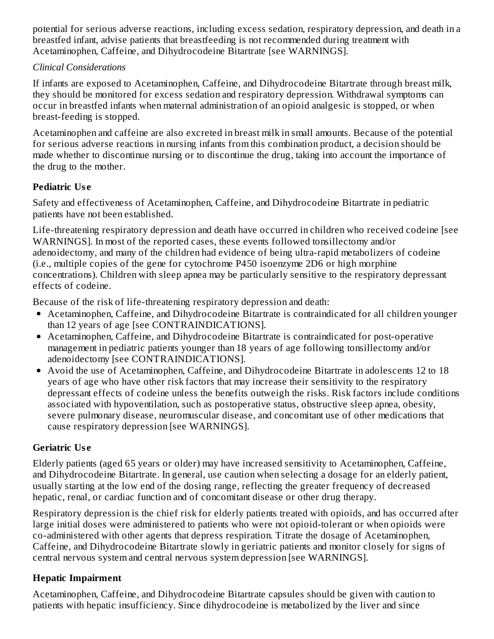potential for serious adverse reactions, including excess sedation, respiratory depression, and death in a breastfed infant, advise patients that breastfeeding is not recommended during treatment with Acetaminophen, Caffeine, and Dihydrocodeine Bitartrate [see WARNINGS].

### *Clinical Considerations*

If infants are exposed to Acetaminophen, Caffeine, and Dihydrocodeine Bitartrate through breast milk, they should be monitored for excess sedation and respiratory depression. Withdrawal symptoms can occur in breastfed infants when maternal administration of an opioid analgesic is stopped, or when breast-feeding is stopped.

Acetaminophen and caffeine are also excreted in breast milk in small amounts. Because of the potential for serious adverse reactions in nursing infants from this combination product, a decision should be made whether to discontinue nursing or to discontinue the drug, taking into account the importance of the drug to the mother.

# **Pediatric Us e**

Safety and effectiveness of Acetaminophen, Caffeine, and Dihydrocodeine Bitartrate in pediatric patients have not been established.

Life-threatening respiratory depression and death have occurred in children who received codeine [see WARNINGS]. In most of the reported cases, these events followed tonsillectomy and/or adenoidectomy, and many of the children had evidence of being ultra-rapid metabolizers of codeine (i.e., multiple copies of the gene for cytochrome P450 isoenzyme 2D6 or high morphine concentrations). Children with sleep apnea may be particularly sensitive to the respiratory depressant effects of codeine.

Because of the risk of life-threatening respiratory depression and death:

- Acetaminophen, Caffeine, and Dihydrocodeine Bitartrate is contraindicated for all children younger than 12 years of age [see CONTRAINDICATIONS].
- Acetaminophen, Caffeine, and Dihydrocodeine Bitartrate is contraindicated for post-operative management in pediatric patients younger than 18 years of age following tonsillectomy and/or adenoidectomy [see CONTRAINDICATIONS].
- Avoid the use of Acetaminophen, Caffeine, and Dihydrocodeine Bitartrate in adolescents 12 to 18 years of age who have other risk factors that may increase their sensitivity to the respiratory depressant effects of codeine unless the benefits outweigh the risks. Risk factors include conditions associated with hypoventilation, such as postoperative status, obstructive sleep apnea, obesity, severe pulmonary disease, neuromuscular disease, and concomitant use of other medications that cause respiratory depression [see WARNINGS].

# **Geriatric Us e**

Elderly patients (aged 65 years or older) may have increased sensitivity to Acetaminophen, Caffeine, and Dihydrocodeine Bitartrate. In general, use caution when selecting a dosage for an elderly patient, usually starting at the low end of the dosing range, reflecting the greater frequency of decreased hepatic, renal, or cardiac function and of concomitant disease or other drug therapy.

Respiratory depression is the chief risk for elderly patients treated with opioids, and has occurred after large initial doses were administered to patients who were not opioid-tolerant or when opioids were co-administered with other agents that depress respiration. Titrate the dosage of Acetaminophen, Caffeine, and Dihydrocodeine Bitartrate slowly in geriatric patients and monitor closely for signs of central nervous system and central nervous system depression [see WARNINGS].

# **Hepatic Impairment**

Acetaminophen, Caffeine, and Dihydrocodeine Bitartrate capsules should be given with caution to patients with hepatic insufficiency. Since dihydrocodeine is metabolized by the liver and since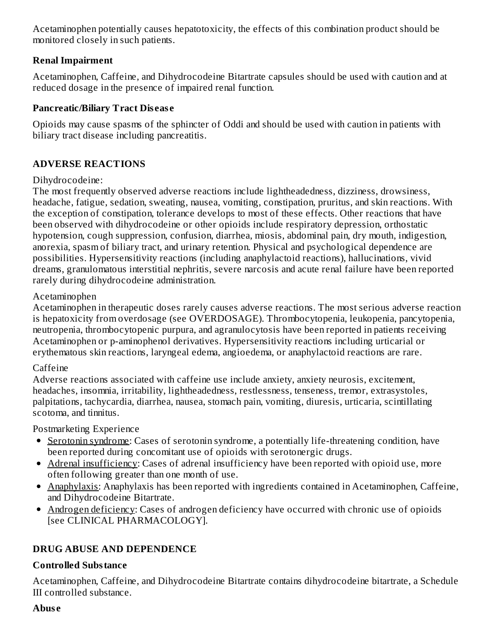Acetaminophen potentially causes hepatotoxicity, the effects of this combination product should be monitored closely in such patients.

### **Renal Impairment**

Acetaminophen, Caffeine, and Dihydrocodeine Bitartrate capsules should be used with caution and at reduced dosage in the presence of impaired renal function.

### **Pancreatic/Biliary Tract Dis eas e**

Opioids may cause spasms of the sphincter of Oddi and should be used with caution in patients with biliary tract disease including pancreatitis.

# **ADVERSE REACTIONS**

#### Dihydrocodeine:

The most frequently observed adverse reactions include lightheadedness, dizziness, drowsiness, headache, fatigue, sedation, sweating, nausea, vomiting, constipation, pruritus, and skin reactions. With the exception of constipation, tolerance develops to most of these effects. Other reactions that have been observed with dihydrocodeine or other opioids include respiratory depression, orthostatic hypotension, cough suppression, confusion, diarrhea, miosis, abdominal pain, dry mouth, indigestion, anorexia, spasm of biliary tract, and urinary retention. Physical and psychological dependence are possibilities. Hypersensitivity reactions (including anaphylactoid reactions), hallucinations, vivid dreams, granulomatous interstitial nephritis, severe narcosis and acute renal failure have been reported rarely during dihydrocodeine administration.

### Acetaminophen

Acetaminophen in therapeutic doses rarely causes adverse reactions. The most serious adverse reaction is hepatoxicity from overdosage (see OVERDOSAGE). Thrombocytopenia, leukopenia, pancytopenia, neutropenia, thrombocytopenic purpura, and agranulocytosis have been reported in patients receiving Acetaminophen or p-aminophenol derivatives. Hypersensitivity reactions including urticarial or erythematous skin reactions, laryngeal edema, angioedema, or anaphylactoid reactions are rare.

#### Caffeine

Adverse reactions associated with caffeine use include anxiety, anxiety neurosis, excitement, headaches, insomnia, irritability, lightheadedness, restlessness, tenseness, tremor, extrasystoles, palpitations, tachycardia, diarrhea, nausea, stomach pain, vomiting, diuresis, urticaria, scintillating scotoma, and tinnitus.

# Postmarketing Experience

- Serotonin syndrome: Cases of serotonin syndrome, a potentially life-threatening condition, have been reported during concomitant use of opioids with serotonergic drugs.
- Adrenal insufficiency: Cases of adrenal insufficiency have been reported with opioid use, more often following greater than one month of use.
- Anaphylaxis: Anaphylaxis has been reported with ingredients contained in Acetaminophen, Caffeine, and Dihydrocodeine Bitartrate.
- Androgen deficiency: Cases of androgen deficiency have occurred with chronic use of opioids [see CLINICAL PHARMACOLOGY].

# **DRUG ABUSE AND DEPENDENCE**

# **Controlled Substance**

Acetaminophen, Caffeine, and Dihydrocodeine Bitartrate contains dihydrocodeine bitartrate, a Schedule III controlled substance.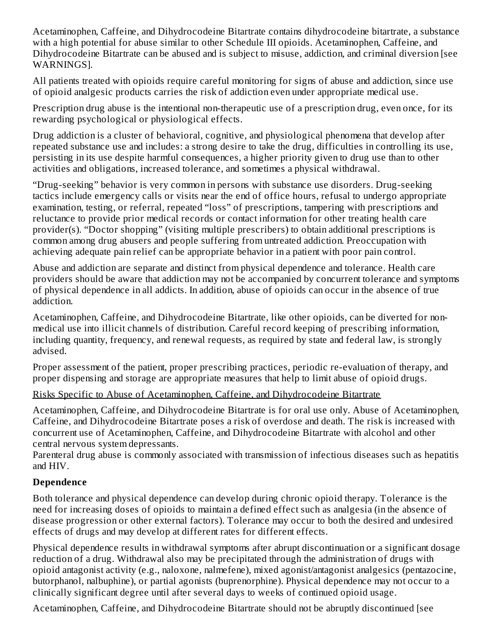Acetaminophen, Caffeine, and Dihydrocodeine Bitartrate contains dihydrocodeine bitartrate, a substance with a high potential for abuse similar to other Schedule III opioids. Acetaminophen, Caffeine, and Dihydrocodeine Bitartrate can be abused and is subject to misuse, addiction, and criminal diversion [see WARNINGS].

All patients treated with opioids require careful monitoring for signs of abuse and addiction, since use of opioid analgesic products carries the risk of addiction even under appropriate medical use.

Prescription drug abuse is the intentional non-therapeutic use of a prescription drug, even once, for its rewarding psychological or physiological effects.

Drug addiction is a cluster of behavioral, cognitive, and physiological phenomena that develop after repeated substance use and includes: a strong desire to take the drug, difficulties in controlling its use, persisting in its use despite harmful consequences, a higher priority given to drug use than to other activities and obligations, increased tolerance, and sometimes a physical withdrawal.

"Drug-seeking" behavior is very common in persons with substance use disorders. Drug-seeking tactics include emergency calls or visits near the end of office hours, refusal to undergo appropriate examination, testing, or referral, repeated "loss" of prescriptions, tampering with prescriptions and reluctance to provide prior medical records or contact information for other treating health care provider(s). "Doctor shopping" (visiting multiple prescribers) to obtain additional prescriptions is common among drug abusers and people suffering from untreated addiction. Preoccupation with achieving adequate pain relief can be appropriate behavior in a patient with poor pain control.

Abuse and addiction are separate and distinct from physical dependence and tolerance. Health care providers should be aware that addiction may not be accompanied by concurrent tolerance and symptoms of physical dependence in all addicts. In addition, abuse of opioids can occur in the absence of true addiction.

Acetaminophen, Caffeine, and Dihydrocodeine Bitartrate, like other opioids, can be diverted for nonmedical use into illicit channels of distribution. Careful record keeping of prescribing information, including quantity, frequency, and renewal requests, as required by state and federal law, is strongly advised.

Proper assessment of the patient, proper prescribing practices, periodic re-evaluation of therapy, and proper dispensing and storage are appropriate measures that help to limit abuse of opioid drugs.

# Risks Specific to Abuse of Acetaminophen, Caffeine, and Dihydrocodeine Bitartrate

Acetaminophen, Caffeine, and Dihydrocodeine Bitartrate is for oral use only. Abuse of Acetaminophen, Caffeine, and Dihydrocodeine Bitartrate poses a risk of overdose and death. The risk is increased with concurrent use of Acetaminophen, Caffeine, and Dihydrocodeine Bitartrate with alcohol and other central nervous system depressants.

Parenteral drug abuse is commonly associated with transmission of infectious diseases such as hepatitis and HIV.

#### **Dependence**

Both tolerance and physical dependence can develop during chronic opioid therapy. Tolerance is the need for increasing doses of opioids to maintain a defined effect such as analgesia (in the absence of disease progression or other external factors). Tolerance may occur to both the desired and undesired effects of drugs and may develop at different rates for different effects.

Physical dependence results in withdrawal symptoms after abrupt discontinuation or a significant dosage reduction of a drug. Withdrawal also may be precipitated through the administration of drugs with opioid antagonist activity (e.g., naloxone, nalmefene), mixed agonist/antagonist analgesics (pentazocine, butorphanol, nalbuphine), or partial agonists (buprenorphine). Physical dependence may not occur to a clinically significant degree until after several days to weeks of continued opioid usage.

Acetaminophen, Caffeine, and Dihydrocodeine Bitartrate should not be abruptly discontinued [see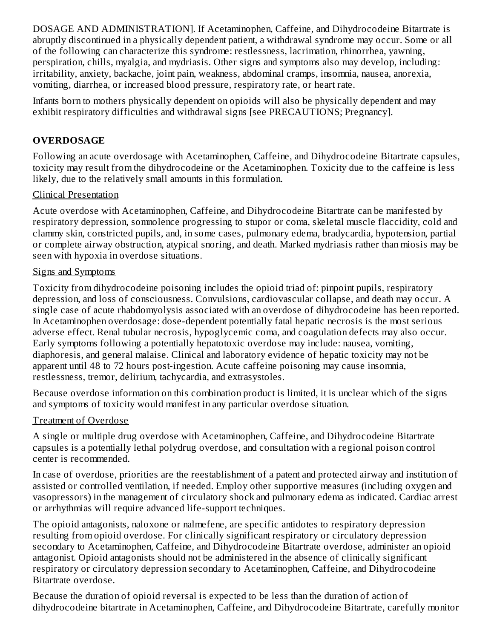DOSAGE AND ADMINISTRATION]. If Acetaminophen, Caffeine, and Dihydrocodeine Bitartrate is abruptly discontinued in a physically dependent patient, a withdrawal syndrome may occur. Some or all of the following can characterize this syndrome: restlessness, lacrimation, rhinorrhea, yawning, perspiration, chills, myalgia, and mydriasis. Other signs and symptoms also may develop, including: irritability, anxiety, backache, joint pain, weakness, abdominal cramps, insomnia, nausea, anorexia, vomiting, diarrhea, or increased blood pressure, respiratory rate, or heart rate.

Infants born to mothers physically dependent on opioids will also be physically dependent and may exhibit respiratory difficulties and withdrawal signs [see PRECAUTIONS; Pregnancy].

# **OVERDOSAGE**

Following an acute overdosage with Acetaminophen, Caffeine, and Dihydrocodeine Bitartrate capsules, toxicity may result from the dihydrocodeine or the Acetaminophen. Toxicity due to the caffeine is less likely, due to the relatively small amounts in this formulation.

#### Clinical Presentation

Acute overdose with Acetaminophen, Caffeine, and Dihydrocodeine Bitartrate can be manifested by respiratory depression, somnolence progressing to stupor or coma, skeletal muscle flaccidity, cold and clammy skin, constricted pupils, and, in some cases, pulmonary edema, bradycardia, hypotension, partial or complete airway obstruction, atypical snoring, and death. Marked mydriasis rather than miosis may be seen with hypoxia in overdose situations.

#### Signs and Symptoms

Toxicity from dihydrocodeine poisoning includes the opioid triad of: pinpoint pupils, respiratory depression, and loss of consciousness. Convulsions, cardiovascular collapse, and death may occur. A single case of acute rhabdomyolysis associated with an overdose of dihydrocodeine has been reported. In Acetaminophen overdosage: dose-dependent potentially fatal hepatic necrosis is the most serious adverse effect. Renal tubular necrosis, hypoglycemic coma, and coagulation defects may also occur. Early symptoms following a potentially hepatotoxic overdose may include: nausea, vomiting, diaphoresis, and general malaise. Clinical and laboratory evidence of hepatic toxicity may not be apparent until 48 to 72 hours post-ingestion. Acute caffeine poisoning may cause insomnia, restlessness, tremor, delirium, tachycardia, and extrasystoles.

Because overdose information on this combination product is limited, it is unclear which of the signs and symptoms of toxicity would manifest in any particular overdose situation.

#### Treatment of Overdose

A single or multiple drug overdose with Acetaminophen, Caffeine, and Dihydrocodeine Bitartrate capsules is a potentially lethal polydrug overdose, and consultation with a regional poison control center is recommended.

In case of overdose, priorities are the reestablishment of a patent and protected airway and institution of assisted or controlled ventilation, if needed. Employ other supportive measures (including oxygen and vasopressors) in the management of circulatory shock and pulmonary edema as indicated. Cardiac arrest or arrhythmias will require advanced life-support techniques.

The opioid antagonists, naloxone or nalmefene, are specific antidotes to respiratory depression resulting from opioid overdose. For clinically significant respiratory or circulatory depression secondary to Acetaminophen, Caffeine, and Dihydrocodeine Bitartrate overdose, administer an opioid antagonist. Opioid antagonists should not be administered in the absence of clinically significant respiratory or circulatory depression secondary to Acetaminophen, Caffeine, and Dihydrocodeine Bitartrate overdose.

Because the duration of opioid reversal is expected to be less than the duration of action of dihydrocodeine bitartrate in Acetaminophen, Caffeine, and Dihydrocodeine Bitartrate, carefully monitor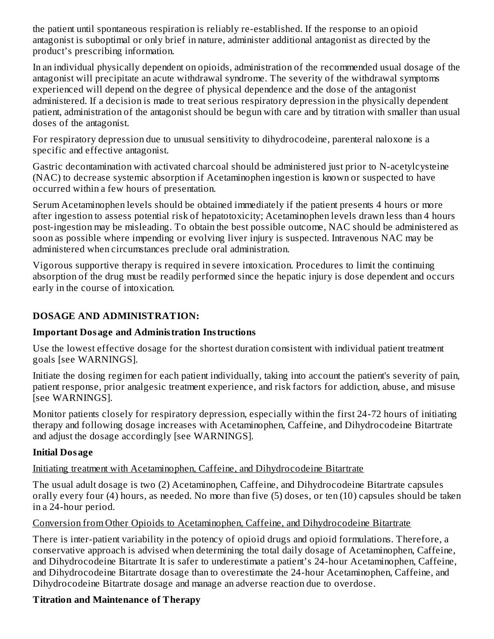the patient until spontaneous respiration is reliably re-established. If the response to an opioid antagonist is suboptimal or only brief in nature, administer additional antagonist as directed by the product's prescribing information.

In an individual physically dependent on opioids, administration of the recommended usual dosage of the antagonist will precipitate an acute withdrawal syndrome. The severity of the withdrawal symptoms experienced will depend on the degree of physical dependence and the dose of the antagonist administered. If a decision is made to treat serious respiratory depression in the physically dependent patient, administration of the antagonist should be begun with care and by titration with smaller than usual doses of the antagonist.

For respiratory depression due to unusual sensitivity to dihydrocodeine, parenteral naloxone is a specific and effective antagonist.

Gastric decontamination with activated charcoal should be administered just prior to N-acetylcysteine (NAC) to decrease systemic absorption if Acetaminophen ingestion is known or suspected to have occurred within a few hours of presentation.

Serum Acetaminophen levels should be obtained immediately if the patient presents 4 hours or more after ingestion to assess potential risk of hepatotoxicity; Acetaminophen levels drawn less than 4 hours post-ingestion may be misleading. To obtain the best possible outcome, NAC should be administered as soon as possible where impending or evolving liver injury is suspected. Intravenous NAC may be administered when circumstances preclude oral administration.

Vigorous supportive therapy is required in severe intoxication. Procedures to limit the continuing absorption of the drug must be readily performed since the hepatic injury is dose dependent and occurs early in the course of intoxication.

# **DOSAGE AND ADMINISTRATION:**

# **Important Dosage and Administration Instructions**

Use the lowest effective dosage for the shortest duration consistent with individual patient treatment goals [see WARNINGS].

Initiate the dosing regimen for each patient individually, taking into account the patient's severity of pain, patient response, prior analgesic treatment experience, and risk factors for addiction, abuse, and misuse [see WARNINGS].

Monitor patients closely for respiratory depression, especially within the first 24-72 hours of initiating therapy and following dosage increases with Acetaminophen, Caffeine, and Dihydrocodeine Bitartrate and adjust the dosage accordingly [see WARNINGS].

# **Initial Dosage**

# Initiating treatment with Acetaminophen, Caffeine, and Dihydrocodeine Bitartrate

The usual adult dosage is two (2) Acetaminophen, Caffeine, and Dihydrocodeine Bitartrate capsules orally every four (4) hours, as needed. No more than five (5) doses, or ten (10) capsules should be taken in a 24-hour period.

# Conversion from Other Opioids to Acetaminophen, Caffeine, and Dihydrocodeine Bitartrate

There is inter-patient variability in the potency of opioid drugs and opioid formulations. Therefore, a conservative approach is advised when determining the total daily dosage of Acetaminophen, Caffeine, and Dihydrocodeine Bitartrate It is safer to underestimate a patient's 24-hour Acetaminophen, Caffeine, and Dihydrocodeine Bitartrate dosage than to overestimate the 24-hour Acetaminophen, Caffeine, and Dihydrocodeine Bitartrate dosage and manage an adverse reaction due to overdose.

# **Titration and Maintenance of Therapy**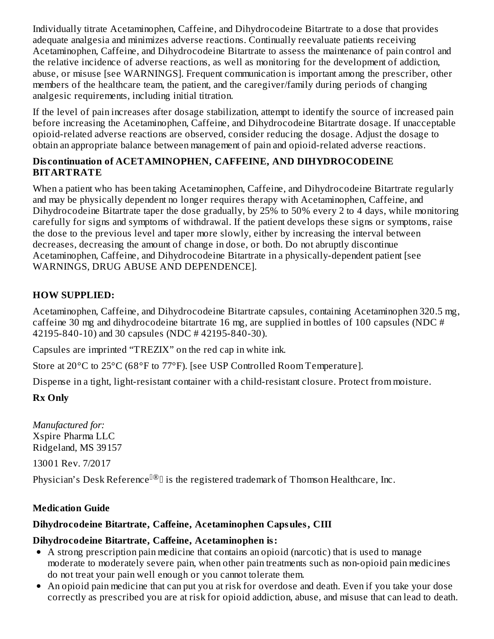Individually titrate Acetaminophen, Caffeine, and Dihydrocodeine Bitartrate to a dose that provides adequate analgesia and minimizes adverse reactions. Continually reevaluate patients receiving Acetaminophen, Caffeine, and Dihydrocodeine Bitartrate to assess the maintenance of pain control and the relative incidence of adverse reactions, as well as monitoring for the development of addiction, abuse, or misuse [see WARNINGS]. Frequent communication is important among the prescriber, other members of the healthcare team, the patient, and the caregiver/family during periods of changing analgesic requirements, including initial titration.

If the level of pain increases after dosage stabilization, attempt to identify the source of increased pain before increasing the Acetaminophen, Caffeine, and Dihydrocodeine Bitartrate dosage. If unacceptable opioid-related adverse reactions are observed, consider reducing the dosage. Adjust the dosage to obtain an appropriate balance between management of pain and opioid-related adverse reactions.

# **Dis continuation of ACETAMINOPHEN, CAFFEINE, AND DIHYDROCODEINE BITARTRATE**

When a patient who has been taking Acetaminophen, Caffeine, and Dihydrocodeine Bitartrate regularly and may be physically dependent no longer requires therapy with Acetaminophen, Caffeine, and Dihydrocodeine Bitartrate taper the dose gradually, by 25% to 50% every 2 to 4 days, while monitoring carefully for signs and symptoms of withdrawal. If the patient develops these signs or symptoms, raise the dose to the previous level and taper more slowly, either by increasing the interval between decreases, decreasing the amount of change in dose, or both. Do not abruptly discontinue Acetaminophen, Caffeine, and Dihydrocodeine Bitartrate in a physically-dependent patient [see WARNINGS, DRUG ABUSE AND DEPENDENCE].

# **HOW SUPPLIED:**

Acetaminophen, Caffeine, and Dihydrocodeine Bitartrate capsules, containing Acetaminophen 320.5 mg, caffeine 30 mg and dihydrocodeine bitartrate 16 mg, are supplied in bottles of 100 capsules (NDC # 42195-840-10) and 30 capsules (NDC # 42195-840-30).

Capsules are imprinted "TREZIX" on the red cap in white ink.

Store at 20°C to 25°C (68°F to 77°F). [see USP Controlled Room Temperature].

Dispense in a tight, light-resistant container with a child-resistant closure. Protect from moisture.

# **Rx Only**

*Manufactured for:* Xspire Pharma LLC Ridgeland, MS 39157

13001 Rev. 7/2017

Physician's Desk Reference ${}^{\mathbb{I}\textcircled{D}}$  is the registered trademark of Thomson Healthcare, Inc.

# **Medication Guide**

# **Dihydrocodeine Bitartrate, Caffeine, Acetaminophen Capsules, CIII**

#### **Dihydrocodeine Bitartrate, Caffeine, Acetaminophen is:**

- A strong prescription pain medicine that contains an opioid (narcotic) that is used to manage moderate to moderately severe pain, when other pain treatments such as non-opioid pain medicines do not treat your pain well enough or you cannot tolerate them.
- An opioid pain medicine that can put you at risk for overdose and death. Even if you take your dose correctly as prescribed you are at risk for opioid addiction, abuse, and misuse that can lead to death.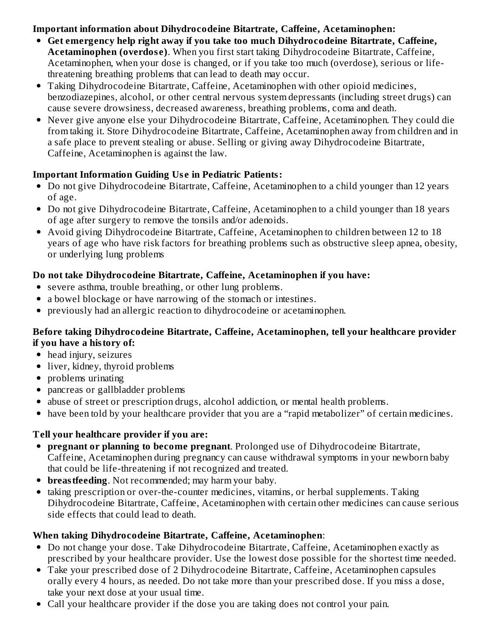### **Important information about Dihydrocodeine Bitartrate, Caffeine, Acetaminophen:**

- **Get emergency help right away if you take too much Dihydrocodeine Bitartrate, Caffeine, Acetaminophen (overdos e)**. When you first start taking Dihydrocodeine Bitartrate, Caffeine, Acetaminophen, when your dose is changed, or if you take too much (overdose), serious or lifethreatening breathing problems that can lead to death may occur.
- Taking Dihydrocodeine Bitartrate, Caffeine, Acetaminophen with other opioid medicines, benzodiazepines, alcohol, or other central nervous system depressants (including street drugs) can cause severe drowsiness, decreased awareness, breathing problems, coma and death.
- Never give anyone else your Dihydrocodeine Bitartrate, Caffeine, Acetaminophen. They could die from taking it. Store Dihydrocodeine Bitartrate, Caffeine, Acetaminophen away from children and in a safe place to prevent stealing or abuse. Selling or giving away Dihydrocodeine Bitartrate, Caffeine, Acetaminophen is against the law.

# **Important Information Guiding Us e in Pediatric Patients:**

- Do not give Dihydrocodeine Bitartrate, Caffeine, Acetaminophen to a child younger than 12 years of age.
- Do not give Dihydrocodeine Bitartrate, Caffeine, Acetaminophen to a child younger than 18 years of age after surgery to remove the tonsils and/or adenoids.
- Avoid giving Dihydrocodeine Bitartrate, Caffeine, Acetaminophen to children between 12 to 18 years of age who have risk factors for breathing problems such as obstructive sleep apnea, obesity, or underlying lung problems

# **Do not take Dihydrocodeine Bitartrate, Caffeine, Acetaminophen if you have:**

- severe asthma, trouble breathing, or other lung problems.
- a bowel blockage or have narrowing of the stomach or intestines.
- previously had an allergic reaction to dihydrocodeine or acetaminophen.

#### **Before taking Dihydrocodeine Bitartrate, Caffeine, Acetaminophen, tell your healthcare provider if you have a history of:**

- head injury, seizures
- liver, kidney, thyroid problems
- problems urinating
- pancreas or gallbladder problems
- abuse of street or prescription drugs, alcohol addiction, or mental health problems.
- have been told by your healthcare provider that you are a "rapid metabolizer" of certain medicines.

# **Tell your healthcare provider if you are:**

- **pregnant or planning to become pregnant**. Prolonged use of Dihydrocodeine Bitartrate, Caffeine, Acetaminophen during pregnancy can cause withdrawal symptoms in your newborn baby that could be life-threatening if not recognized and treated.
- **breastfeeding**. Not recommended; may harm your baby.
- taking prescription or over-the-counter medicines, vitamins, or herbal supplements. Taking Dihydrocodeine Bitartrate, Caffeine, Acetaminophen with certain other medicines can cause serious side effects that could lead to death.

# **When taking Dihydrocodeine Bitartrate, Caffeine, Acetaminophen**:

- Do not change your dose. Take Dihydrocodeine Bitartrate, Caffeine, Acetaminophen exactly as prescribed by your healthcare provider. Use the lowest dose possible for the shortest time needed.
- Take your prescribed dose of 2 Dihydrocodeine Bitartrate, Caffeine, Acetaminophen capsules orally every 4 hours, as needed. Do not take more than your prescribed dose. If you miss a dose, take your next dose at your usual time.
- Call your healthcare provider if the dose you are taking does not control your pain.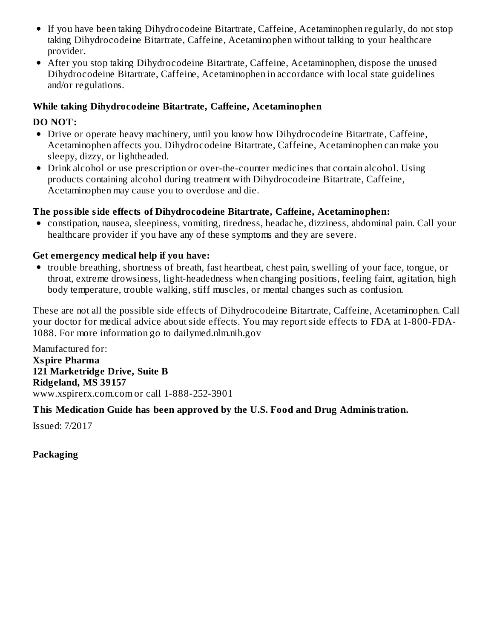- If you have been taking Dihydrocodeine Bitartrate, Caffeine, Acetaminophen regularly, do not stop taking Dihydrocodeine Bitartrate, Caffeine, Acetaminophen without talking to your healthcare provider.
- After you stop taking Dihydrocodeine Bitartrate, Caffeine, Acetaminophen, dispose the unused Dihydrocodeine Bitartrate, Caffeine, Acetaminophen in accordance with local state guidelines and/or regulations.

### **While taking Dihydrocodeine Bitartrate, Caffeine, Acetaminophen**

### **DO NOT:**

- Drive or operate heavy machinery, until you know how Dihydrocodeine Bitartrate, Caffeine, Acetaminophen affects you. Dihydrocodeine Bitartrate, Caffeine, Acetaminophen can make you sleepy, dizzy, or lightheaded.
- Drink alcohol or use prescription or over-the-counter medicines that contain alcohol. Using products containing alcohol during treatment with Dihydrocodeine Bitartrate, Caffeine, Acetaminophen may cause you to overdose and die.

#### **The possible side effects of Dihydrocodeine Bitartrate, Caffeine, Acetaminophen:**

constipation, nausea, sleepiness, vomiting, tiredness, headache, dizziness, abdominal pain. Call your healthcare provider if you have any of these symptoms and they are severe.

### **Get emergency medical help if you have:**

• trouble breathing, shortness of breath, fast heartbeat, chest pain, swelling of your face, tongue, or throat, extreme drowsiness, light-headedness when changing positions, feeling faint, agitation, high body temperature, trouble walking, stiff muscles, or mental changes such as confusion.

These are not all the possible side effects of Dihydrocodeine Bitartrate, Caffeine, Acetaminophen. Call your doctor for medical advice about side effects. You may report side effects to FDA at 1-800-FDA-1088. For more information go to dailymed.nlm.nih.gov

Manufactured for: **Xspire Pharma 121 Marketridge Drive, Suite B Ridgeland, MS 39157** www.xspirerx.com.com or call 1-888-252-3901

#### **This Medication Guide has been approved by the U.S. Food and Drug Administration.**

Issued: 7/2017

**Packaging**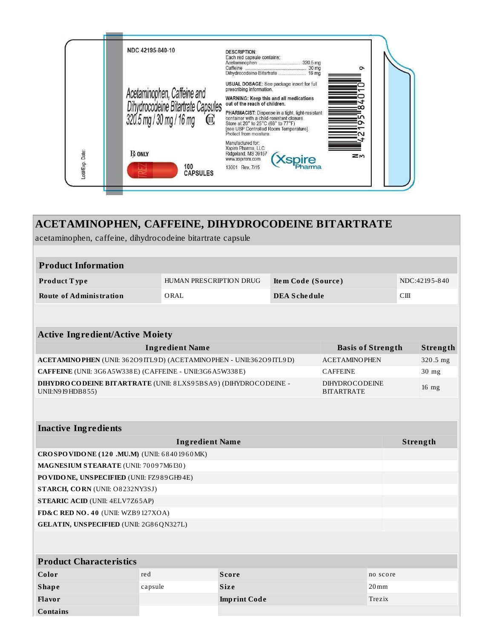

| <b>Product Information</b>                                                                                                                                                                            |                                                                                                       |                         |                     |                          |                  |               |  |
|-------------------------------------------------------------------------------------------------------------------------------------------------------------------------------------------------------|-------------------------------------------------------------------------------------------------------|-------------------------|---------------------|--------------------------|------------------|---------------|--|
| Product Type                                                                                                                                                                                          |                                                                                                       | HUMAN PRESCRIPTION DRUG |                     | Item Code (Source)       |                  | NDC:42195-840 |  |
| <b>Route of Administration</b>                                                                                                                                                                        | ORAL                                                                                                  |                         | <b>DEA Schedule</b> |                          | C <sub>III</sub> |               |  |
|                                                                                                                                                                                                       |                                                                                                       |                         |                     |                          |                  |               |  |
| <b>Active Ingredient/Active Moiety</b>                                                                                                                                                                |                                                                                                       |                         |                     |                          |                  |               |  |
|                                                                                                                                                                                                       | <b>Ingredient Name</b>                                                                                |                         |                     | <b>Basis of Strength</b> |                  | Strength      |  |
| ACETAMINO PHEN (UNII: 36209 ITL9D) (ACETAMINO PHEN - UNII:36209 ITL9D)                                                                                                                                |                                                                                                       |                         |                     | <b>ACETAMINOPHEN</b>     |                  | 320.5 mg      |  |
| CAFFEINE (UNII: 3G6A5W338E) (CAFFEINE - UNII:3G6A5W338E)                                                                                                                                              |                                                                                                       |                         |                     | <b>CAFFEINE</b>          |                  | 30 mg         |  |
| UNII:N9 I9 HDB855)                                                                                                                                                                                    | DIHYDROCODEINE BITARTRATE (UNII: 8LXS95BSA9) (DIHYDROCODEINE -<br>DIHYDROCODEINE<br><b>BITARTRATE</b> |                         |                     |                          | $16$ mg          |               |  |
|                                                                                                                                                                                                       |                                                                                                       |                         |                     |                          |                  |               |  |
|                                                                                                                                                                                                       |                                                                                                       |                         |                     |                          |                  |               |  |
|                                                                                                                                                                                                       |                                                                                                       |                         |                     |                          |                  |               |  |
|                                                                                                                                                                                                       |                                                                                                       | <b>Ingredient Name</b>  |                     |                          |                  | Strength      |  |
|                                                                                                                                                                                                       |                                                                                                       |                         |                     |                          |                  |               |  |
| MAGNESIUM STEARATE (UNII: 70097M6I30)<br>PO VIDONE, UNSPECIFIED (UNII: FZ989GH94E)                                                                                                                    |                                                                                                       |                         |                     |                          |                  |               |  |
| STARCH, CORN (UNII: O8232NY3SJ)                                                                                                                                                                       |                                                                                                       |                         |                     |                          |                  |               |  |
|                                                                                                                                                                                                       |                                                                                                       |                         |                     |                          |                  |               |  |
|                                                                                                                                                                                                       |                                                                                                       |                         |                     |                          |                  |               |  |
| <b>Inactive Ingredients</b><br>CROSPOVIDONE (120 .MU.M) (UNII: 68401960MK)<br><b>STEARIC ACID (UNII: 4ELV7Z65AP)</b><br>FD&C RED NO. 40 (UNII: WZB9127XOA)<br>GELATIN, UNSPECIFIED (UNII: 2G86QN327L) |                                                                                                       |                         |                     |                          |                  |               |  |
|                                                                                                                                                                                                       |                                                                                                       |                         |                     |                          |                  |               |  |
|                                                                                                                                                                                                       |                                                                                                       |                         |                     |                          |                  |               |  |
|                                                                                                                                                                                                       | re d                                                                                                  | <b>Score</b>            |                     |                          | no score         |               |  |
| <b>Product Characteristics</b><br>Color                                                                                                                                                               | capsule                                                                                               | <b>Size</b>             |                     | $20 \,\mathrm{mm}$       |                  |               |  |
| <b>Shape</b><br><b>Flavor</b>                                                                                                                                                                         |                                                                                                       | <b>Imprint Code</b>     |                     | Trezix                   |                  |               |  |